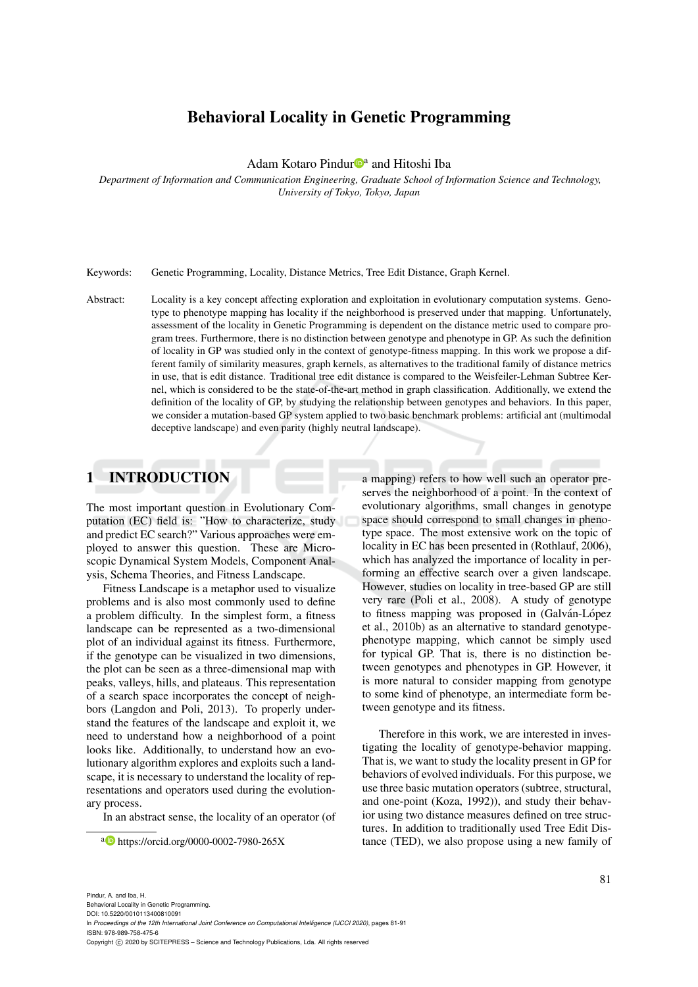# Behavioral Locality in Genetic Programming

Adam Kotaro Pindur<sup>n</sup><sup>a</sup> and Hitoshi Iba

*Department of Information and Communication Engineering, Graduate School of Information Science and Technology, University of Tokyo, Tokyo, Japan*

Keywords: Genetic Programming, Locality, Distance Metrics, Tree Edit Distance, Graph Kernel.

Abstract: Locality is a key concept affecting exploration and exploitation in evolutionary computation systems. Genotype to phenotype mapping has locality if the neighborhood is preserved under that mapping. Unfortunately, assessment of the locality in Genetic Programming is dependent on the distance metric used to compare program trees. Furthermore, there is no distinction between genotype and phenotype in GP. As such the definition of locality in GP was studied only in the context of genotype-fitness mapping. In this work we propose a different family of similarity measures, graph kernels, as alternatives to the traditional family of distance metrics in use, that is edit distance. Traditional tree edit distance is compared to the Weisfeiler-Lehman Subtree Kernel, which is considered to be the state-of-the-art method in graph classification. Additionally, we extend the definition of the locality of GP, by studying the relationship between genotypes and behaviors. In this paper, we consider a mutation-based GP system applied to two basic benchmark problems: artificial ant (multimodal deceptive landscape) and even parity (highly neutral landscape).

## 1 INTRODUCTION

The most important question in Evolutionary Computation (EC) field is: "How to characterize, study and predict EC search?" Various approaches were employed to answer this question. These are Microscopic Dynamical System Models, Component Analysis, Schema Theories, and Fitness Landscape.

Fitness Landscape is a metaphor used to visualize problems and is also most commonly used to define a problem difficulty. In the simplest form, a fitness landscape can be represented as a two-dimensional plot of an individual against its fitness. Furthermore, if the genotype can be visualized in two dimensions, the plot can be seen as a three-dimensional map with peaks, valleys, hills, and plateaus. This representation of a search space incorporates the concept of neighbors (Langdon and Poli, 2013). To properly understand the features of the landscape and exploit it, we need to understand how a neighborhood of a point looks like. Additionally, to understand how an evolutionary algorithm explores and exploits such a landscape, it is necessary to understand the locality of representations and operators used during the evolutionary process.

In an abstract sense, the locality of an operator (of

a mapping) refers to how well such an operator preserves the neighborhood of a point. In the context of evolutionary algorithms, small changes in genotype space should correspond to small changes in phenotype space. The most extensive work on the topic of locality in EC has been presented in (Rothlauf, 2006), which has analyzed the importance of locality in performing an effective search over a given landscape. However, studies on locality in tree-based GP are still very rare (Poli et al., 2008). A study of genotype to fitness mapping was proposed in (Galván-López et al., 2010b) as an alternative to standard genotypephenotype mapping, which cannot be simply used for typical GP. That is, there is no distinction between genotypes and phenotypes in GP. However, it is more natural to consider mapping from genotype to some kind of phenotype, an intermediate form between genotype and its fitness.

Therefore in this work, we are interested in investigating the locality of genotype-behavior mapping. That is, we want to study the locality present in GP for behaviors of evolved individuals. For this purpose, we use three basic mutation operators (subtree, structural, and one-point (Koza, 1992)), and study their behavior using two distance measures defined on tree structures. In addition to traditionally used Tree Edit Distance (TED), we also propose using a new family of

a https://orcid.org/0000-0002-7980-265X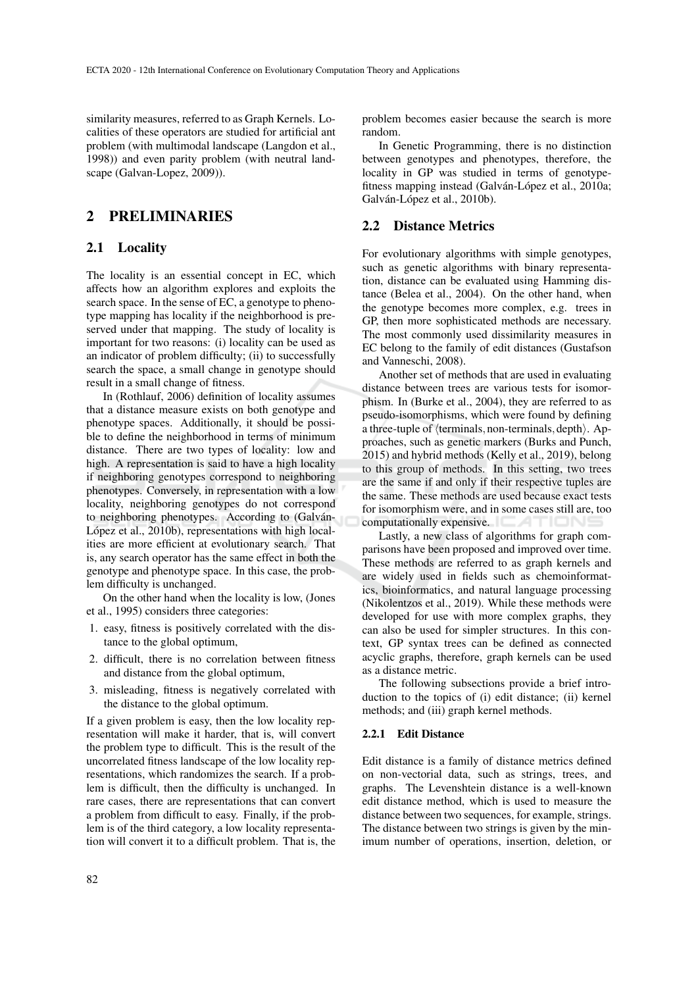similarity measures, referred to as Graph Kernels. Localities of these operators are studied for artificial ant problem (with multimodal landscape (Langdon et al., 1998)) and even parity problem (with neutral landscape (Galvan-Lopez, 2009)).

## 2 PRELIMINARIES

### 2.1 Locality

The locality is an essential concept in EC, which affects how an algorithm explores and exploits the search space. In the sense of EC, a genotype to phenotype mapping has locality if the neighborhood is preserved under that mapping. The study of locality is important for two reasons: (i) locality can be used as an indicator of problem difficulty; (ii) to successfully search the space, a small change in genotype should result in a small change of fitness.

In (Rothlauf, 2006) definition of locality assumes that a distance measure exists on both genotype and phenotype spaces. Additionally, it should be possible to define the neighborhood in terms of minimum distance. There are two types of locality: low and high. A representation is said to have a high locality if neighboring genotypes correspond to neighboring phenotypes. Conversely, in representation with a low locality, neighboring genotypes do not correspond to neighboring phenotypes. According to (Galván-López et al., 2010b), representations with high localities are more efficient at evolutionary search. That is, any search operator has the same effect in both the genotype and phenotype space. In this case, the problem difficulty is unchanged.

On the other hand when the locality is low, (Jones et al., 1995) considers three categories:

- 1. easy, fitness is positively correlated with the distance to the global optimum,
- 2. difficult, there is no correlation between fitness and distance from the global optimum,
- 3. misleading, fitness is negatively correlated with the distance to the global optimum.

If a given problem is easy, then the low locality representation will make it harder, that is, will convert the problem type to difficult. This is the result of the uncorrelated fitness landscape of the low locality representations, which randomizes the search. If a problem is difficult, then the difficulty is unchanged. In rare cases, there are representations that can convert a problem from difficult to easy. Finally, if the problem is of the third category, a low locality representation will convert it to a difficult problem. That is, the

problem becomes easier because the search is more random.

In Genetic Programming, there is no distinction between genotypes and phenotypes, therefore, the locality in GP was studied in terms of genotypefitness mapping instead (Galván-López et al., 2010a; Galván-López et al., 2010b).

### 2.2 Distance Metrics

For evolutionary algorithms with simple genotypes, such as genetic algorithms with binary representation, distance can be evaluated using Hamming distance (Belea et al., 2004). On the other hand, when the genotype becomes more complex, e.g. trees in GP, then more sophisticated methods are necessary. The most commonly used dissimilarity measures in EC belong to the family of edit distances (Gustafson and Vanneschi, 2008).

Another set of methods that are used in evaluating distance between trees are various tests for isomorphism. In (Burke et al., 2004), they are referred to as pseudo-isomorphisms, which were found by defining a three-tuple of  $\langle$  terminals, non-terminals, depth $\rangle$ . Approaches, such as genetic markers (Burks and Punch, 2015) and hybrid methods (Kelly et al., 2019), belong to this group of methods. In this setting, two trees are the same if and only if their respective tuples are the same. These methods are used because exact tests for isomorphism were, and in some cases still are, too computationally expensive. ATION

Lastly, a new class of algorithms for graph comparisons have been proposed and improved over time. These methods are referred to as graph kernels and are widely used in fields such as chemoinformatics, bioinformatics, and natural language processing (Nikolentzos et al., 2019). While these methods were developed for use with more complex graphs, they can also be used for simpler structures. In this context, GP syntax trees can be defined as connected acyclic graphs, therefore, graph kernels can be used as a distance metric.

The following subsections provide a brief introduction to the topics of (i) edit distance; (ii) kernel methods; and (iii) graph kernel methods.

#### 2.2.1 Edit Distance

Edit distance is a family of distance metrics defined on non-vectorial data, such as strings, trees, and graphs. The Levenshtein distance is a well-known edit distance method, which is used to measure the distance between two sequences, for example, strings. The distance between two strings is given by the minimum number of operations, insertion, deletion, or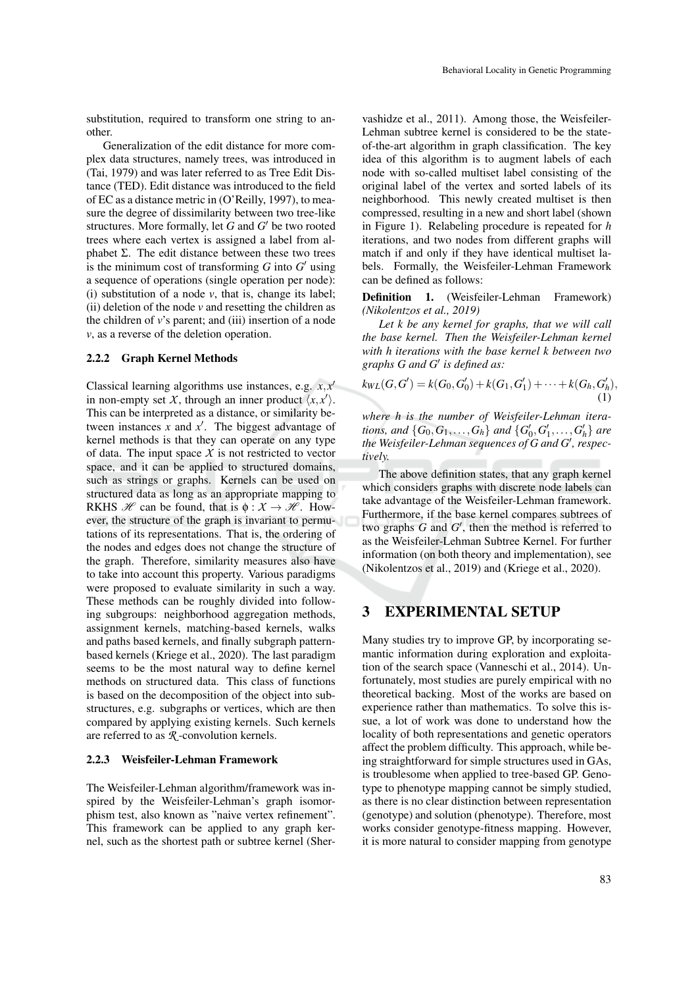substitution, required to transform one string to another.

Generalization of the edit distance for more complex data structures, namely trees, was introduced in (Tai, 1979) and was later referred to as Tree Edit Distance (TED). Edit distance was introduced to the field of EC as a distance metric in (O'Reilly, 1997), to measure the degree of dissimilarity between two tree-like structures. More formally, let  $G$  and  $G'$  be two rooted trees where each vertex is assigned a label from alphabet Σ. The edit distance between these two trees is the minimum cost of transforming  $G$  into  $G'$  using a sequence of operations (single operation per node): (i) substitution of a node  $\nu$ , that is, change its label; (ii) deletion of the node  $\nu$  and resetting the children as the children of  $v$ 's parent; and (iii) insertion of a node *v*, as a reverse of the deletion operation.

#### 2.2.2 Graph Kernel Methods

Classical learning algorithms use instances, e.g.  $x, x'$ in non-empty set *X*, through an inner product  $\langle x, x' \rangle$ . This can be interpreted as a distance, or similarity between instances  $\bar{x}$  and  $\bar{x}$ <sup>'</sup>. The biggest advantage of kernel methods is that they can operate on any type of data. The input space  $X$  is not restricted to vector space, and it can be applied to structured domains, such as strings or graphs. Kernels can be used on structured data as long as an appropriate mapping to RKHS  $\mathcal H$  can be found, that is  $\phi : \mathcal X \to \mathcal H$ . However, the structure of the graph is invariant to permutations of its representations. That is, the ordering of the nodes and edges does not change the structure of the graph. Therefore, similarity measures also have to take into account this property. Various paradigms were proposed to evaluate similarity in such a way. These methods can be roughly divided into following subgroups: neighborhood aggregation methods, assignment kernels, matching-based kernels, walks and paths based kernels, and finally subgraph patternbased kernels (Kriege et al., 2020). The last paradigm seems to be the most natural way to define kernel methods on structured data. This class of functions is based on the decomposition of the object into substructures, e.g. subgraphs or vertices, which are then compared by applying existing kernels. Such kernels are referred to as *R* -convolution kernels.

#### 2.2.3 Weisfeiler-Lehman Framework

The Weisfeiler-Lehman algorithm/framework was inspired by the Weisfeiler-Lehman's graph isomorphism test, also known as "naive vertex refinement". This framework can be applied to any graph kernel, such as the shortest path or subtree kernel (Sher-

vashidze et al., 2011). Among those, the Weisfeiler-Lehman subtree kernel is considered to be the stateof-the-art algorithm in graph classification. The key idea of this algorithm is to augment labels of each node with so-called multiset label consisting of the original label of the vertex and sorted labels of its neighborhood. This newly created multiset is then compressed, resulting in a new and short label (shown in Figure 1). Relabeling procedure is repeated for *h* iterations, and two nodes from different graphs will match if and only if they have identical multiset labels. Formally, the Weisfeiler-Lehman Framework can be defined as follows:

Definition 1. (Weisfeiler-Lehman Framework) *(Nikolentzos et al., 2019)*

*Let k be any kernel for graphs, that we will call the base kernel. Then the Weisfeiler-Lehman kernel with h iterations with the base kernel k between two graphs G and G*<sup>0</sup> *is defined as:*

$$
k_{WL}(G, G') = k(G_0, G'_0) + k(G_1, G'_1) + \cdots + k(G_h, G'_h),
$$
\n(1)

*where h is the number of Weisfeiler-Lehman iterations, and*  $\{G_0, G_1, \ldots, G_h\}$  *and*  $\{G'_0, G'_1, \ldots, G'_h\}$  *are the Weisfeiler-Lehman sequences of G and G', respectively.*

The above definition states, that any graph kernel which considers graphs with discrete node labels can take advantage of the Weisfeiler-Lehman framework. Furthermore, if the base kernel compares subtrees of two graphs  $G$  and  $G'$ , then the method is referred to as the Weisfeiler-Lehman Subtree Kernel. For further information (on both theory and implementation), see (Nikolentzos et al., 2019) and (Kriege et al., 2020).

### 3 EXPERIMENTAL SETUP

Many studies try to improve GP, by incorporating semantic information during exploration and exploitation of the search space (Vanneschi et al., 2014). Unfortunately, most studies are purely empirical with no theoretical backing. Most of the works are based on experience rather than mathematics. To solve this issue, a lot of work was done to understand how the locality of both representations and genetic operators affect the problem difficulty. This approach, while being straightforward for simple structures used in GAs, is troublesome when applied to tree-based GP. Genotype to phenotype mapping cannot be simply studied, as there is no clear distinction between representation (genotype) and solution (phenotype). Therefore, most works consider genotype-fitness mapping. However, it is more natural to consider mapping from genotype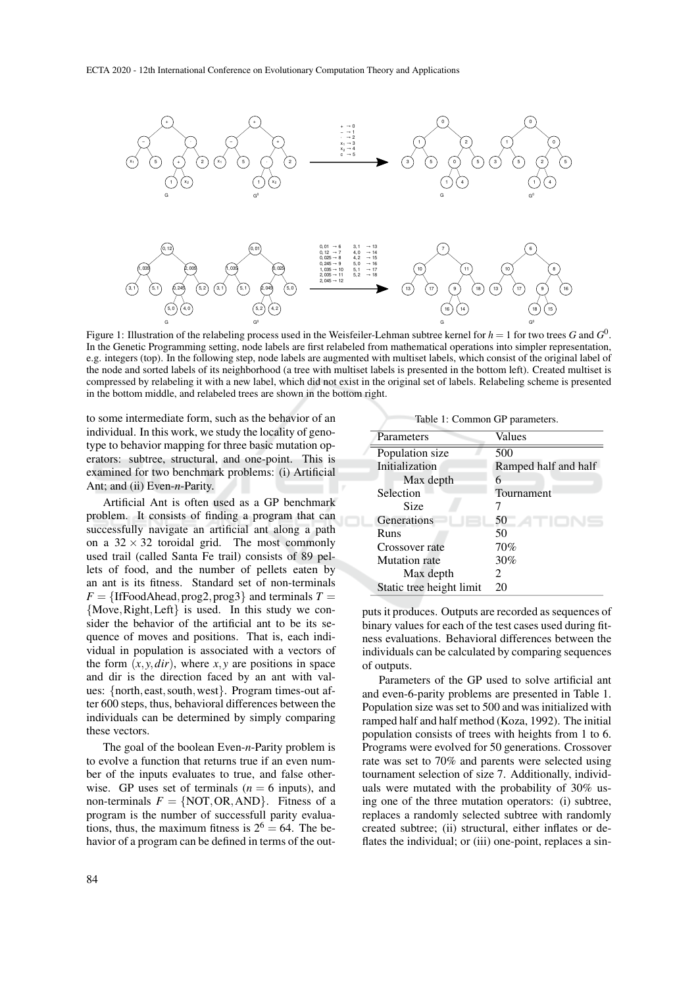

Figure 1: Illustration of the relabeling process used in the Weisfeiler-Lehman subtree kernel for  $h=1$  for two trees  $G$  and  $G^0$ . In the Genetic Programming setting, node labels are first relabeled from mathematical operations into simpler representation, e.g. integers (top). In the following step, node labels are augmented with multiset labels, which consist of the original label of the node and sorted labels of its neighborhood (a tree with multiset labels is presented in the bottom left). Created multiset is compressed by relabeling it with a new label, which did not exist in the original set of labels. Relabeling scheme is presented in the bottom middle, and relabeled trees are shown in the bottom right.

to some intermediate form, such as the behavior of an individual. In this work, we study the locality of genotype to behavior mapping for three basic mutation operators: subtree, structural, and one-point. This is examined for two benchmark problems: (i) Artificial Ant; and (ii) Even-*n*-Parity.

Artificial Ant is often used as a GP benchmark problem. It consists of finding a program that can successfully navigate an artificial ant along a path on a  $32 \times 32$  toroidal grid. The most commonly used trail (called Santa Fe trail) consists of 89 pellets of food, and the number of pellets eaten by an ant is its fitness. Standard set of non-terminals  $F = \{ \text{IfFoodAhead}, \text{prog2}, \text{prog3} \}$  and terminals  $T =$ {Move,Right,Left} is used. In this study we consider the behavior of the artificial ant to be its sequence of moves and positions. That is, each individual in population is associated with a vectors of the form  $(x, y, dir)$ , where  $x, y$  are positions in space and dir is the direction faced by an ant with values: {north, east,south,west}. Program times-out after 600 steps, thus, behavioral differences between the individuals can be determined by simply comparing these vectors.

The goal of the boolean Even-*n*-Parity problem is to evolve a function that returns true if an even number of the inputs evaluates to true, and false otherwise. GP uses set of terminals ( $n = 6$  inputs), and non-terminals  $F = \{NOT, OR, AND\}$ . Fitness of a program is the number of successfull parity evaluations, thus, the maximum fitness is  $2^6 = 64$ . The behavior of a program can be defined in terms of the out-

Parameters Values

| 1 an am curs             | , aracs              |
|--------------------------|----------------------|
| Population size          | 500                  |
| Initialization           | Ramped half and half |
| Max depth                |                      |
| Selection                | Tournament           |
| Size                     |                      |
| Generations              | 50                   |
| Runs                     | 50                   |
| Crossover rate           | 70%                  |
| <b>Mutation</b> rate     | 30%                  |
| Max depth                | 2                    |
| Static tree height limit | 20                   |
|                          |                      |

Table 1: Common GP parameters.

puts it produces. Outputs are recorded as sequences of binary values for each of the test cases used during fitness evaluations. Behavioral differences between the individuals can be calculated by comparing sequences of outputs.

Parameters of the GP used to solve artificial ant and even-6-parity problems are presented in Table 1. Population size was set to 500 and was initialized with ramped half and half method (Koza, 1992). The initial population consists of trees with heights from 1 to 6. Programs were evolved for 50 generations. Crossover rate was set to 70% and parents were selected using tournament selection of size 7. Additionally, individuals were mutated with the probability of 30% using one of the three mutation operators: (i) subtree, replaces a randomly selected subtree with randomly created subtree; (ii) structural, either inflates or deflates the individual; or (iii) one-point, replaces a sin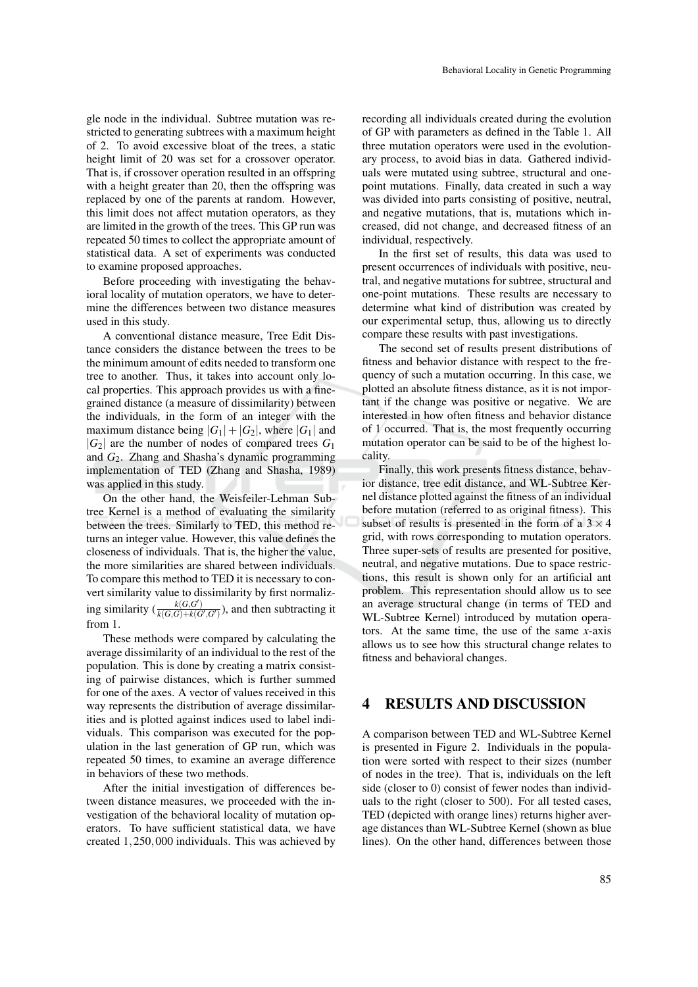gle node in the individual. Subtree mutation was restricted to generating subtrees with a maximum height of 2. To avoid excessive bloat of the trees, a static height limit of 20 was set for a crossover operator. That is, if crossover operation resulted in an offspring with a height greater than 20, then the offspring was replaced by one of the parents at random. However, this limit does not affect mutation operators, as they are limited in the growth of the trees. This GP run was repeated 50 times to collect the appropriate amount of statistical data. A set of experiments was conducted to examine proposed approaches.

Before proceeding with investigating the behavioral locality of mutation operators, we have to determine the differences between two distance measures used in this study.

A conventional distance measure, Tree Edit Distance considers the distance between the trees to be the minimum amount of edits needed to transform one tree to another. Thus, it takes into account only local properties. This approach provides us with a finegrained distance (a measure of dissimilarity) between the individuals, in the form of an integer with the maximum distance being  $|G_1|+|G_2|$ , where  $|G_1|$  and  $|G_2|$  are the number of nodes of compared trees  $G_1$ and *G*2. Zhang and Shasha's dynamic programming implementation of TED (Zhang and Shasha, 1989) was applied in this study.

On the other hand, the Weisfeiler-Lehman Subtree Kernel is a method of evaluating the similarity between the trees. Similarly to TED, this method returns an integer value. However, this value defines the closeness of individuals. That is, the higher the value, the more similarities are shared between individuals. To compare this method to TED it is necessary to convert similarity value to dissimilarity by first normalizing similarity  $(\frac{k(G, G')}{k(G, G) + k(G', G')}$ , and then subtracting it from 1.

These methods were compared by calculating the average dissimilarity of an individual to the rest of the population. This is done by creating a matrix consisting of pairwise distances, which is further summed for one of the axes. A vector of values received in this way represents the distribution of average dissimilarities and is plotted against indices used to label individuals. This comparison was executed for the population in the last generation of GP run, which was repeated 50 times, to examine an average difference in behaviors of these two methods.

After the initial investigation of differences between distance measures, we proceeded with the investigation of the behavioral locality of mutation operators. To have sufficient statistical data, we have created 1,250,000 individuals. This was achieved by

recording all individuals created during the evolution of GP with parameters as defined in the Table 1. All three mutation operators were used in the evolutionary process, to avoid bias in data. Gathered individuals were mutated using subtree, structural and onepoint mutations. Finally, data created in such a way was divided into parts consisting of positive, neutral, and negative mutations, that is, mutations which increased, did not change, and decreased fitness of an individual, respectively.

In the first set of results, this data was used to present occurrences of individuals with positive, neutral, and negative mutations for subtree, structural and one-point mutations. These results are necessary to determine what kind of distribution was created by our experimental setup, thus, allowing us to directly compare these results with past investigations.

The second set of results present distributions of fitness and behavior distance with respect to the frequency of such a mutation occurring. In this case, we plotted an absolute fitness distance, as it is not important if the change was positive or negative. We are interested in how often fitness and behavior distance of 1 occurred. That is, the most frequently occurring mutation operator can be said to be of the highest locality.

Finally, this work presents fitness distance, behavior distance, tree edit distance, and WL-Subtree Kernel distance plotted against the fitness of an individual before mutation (referred to as original fitness). This subset of results is presented in the form of a  $3 \times 4$ grid, with rows corresponding to mutation operators. Three super-sets of results are presented for positive, neutral, and negative mutations. Due to space restrictions, this result is shown only for an artificial ant problem. This representation should allow us to see an average structural change (in terms of TED and WL-Subtree Kernel) introduced by mutation operators. At the same time, the use of the same *x*-axis allows us to see how this structural change relates to fitness and behavioral changes.

### 4 RESULTS AND DISCUSSION

A comparison between TED and WL-Subtree Kernel is presented in Figure 2. Individuals in the population were sorted with respect to their sizes (number of nodes in the tree). That is, individuals on the left side (closer to 0) consist of fewer nodes than individuals to the right (closer to 500). For all tested cases, TED (depicted with orange lines) returns higher average distances than WL-Subtree Kernel (shown as blue lines). On the other hand, differences between those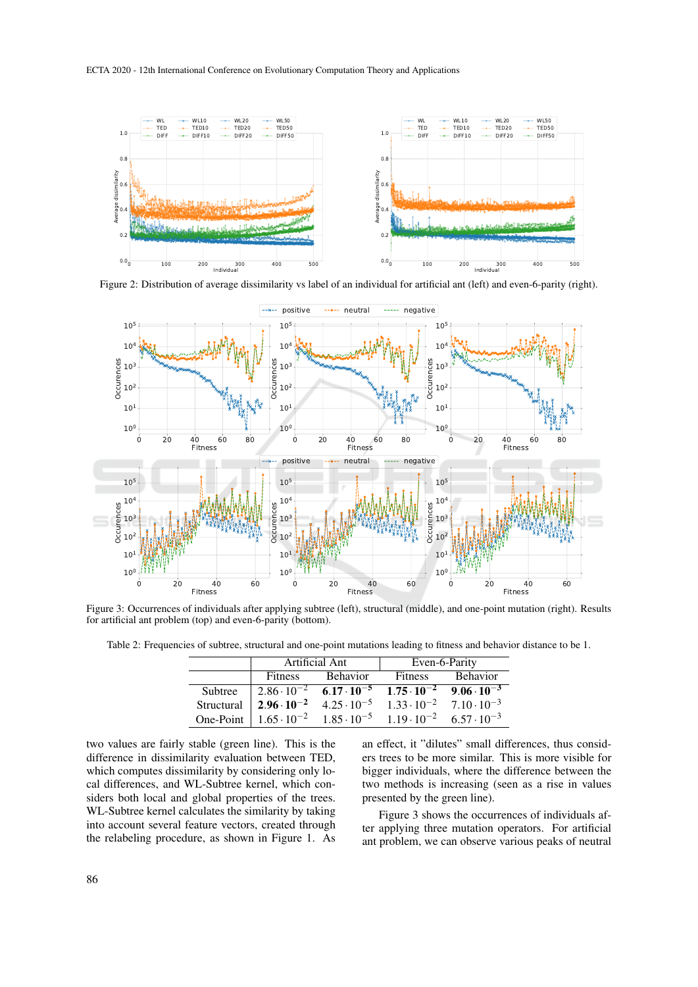

Figure 2: Distribution of average dissimilarity vs label of an individual for artificial ant (left) and even-6-parity (right).



Figure 3: Occurrences of individuals after applying subtree (left), structural (middle), and one-point mutation (right). Results for artificial ant problem (top) and even-6-parity (bottom).

Table 2: Frequencies of subtree, structural and one-point mutations leading to fitness and behavior distance to be 1.

|         | Artificial Ant                                                                                                                              |                 | Even-6-Parity                                                                       |                  |
|---------|---------------------------------------------------------------------------------------------------------------------------------------------|-----------------|-------------------------------------------------------------------------------------|------------------|
|         | Fitness                                                                                                                                     | <b>Behavior</b> |                                                                                     | Fitness Behavior |
| Subtree |                                                                                                                                             |                 | $2.86 \cdot 10^{-2}$ $6.17 \cdot 10^{-5}$ $1.75 \cdot 10^{-2}$ $9.06 \cdot 10^{-3}$ |                  |
|         | Structural $\begin{array}{ l} \n2.96 \cdot 10^{-2} \quad 4.25 \cdot 10^{-5} \quad 1.33 \cdot 10^{-2} \quad 7.10 \cdot 10^{-3}\n\end{array}$ |                 |                                                                                     |                  |
|         | One-Point   $1.65 \cdot 10^{-2}$ $1.85 \cdot 10^{-5}$ $1.19 \cdot 10^{-2}$ $6.57 \cdot 10^{-3}$                                             |                 |                                                                                     |                  |

two values are fairly stable (green line). This is the difference in dissimilarity evaluation between TED, which computes dissimilarity by considering only local differences, and WL-Subtree kernel, which considers both local and global properties of the trees. WL-Subtree kernel calculates the similarity by taking into account several feature vectors, created through the relabeling procedure, as shown in Figure 1. As

an effect, it "dilutes" small differences, thus considers trees to be more similar. This is more visible for bigger individuals, where the difference between the two methods is increasing (seen as a rise in values presented by the green line).

Figure 3 shows the occurrences of individuals after applying three mutation operators. For artificial ant problem, we can observe various peaks of neutral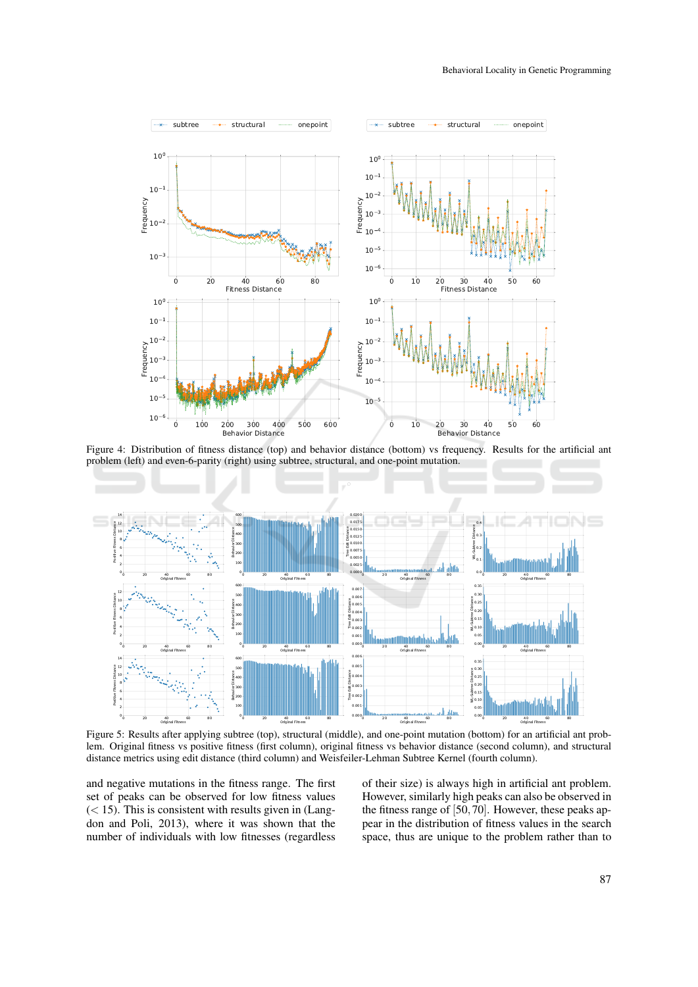

Figure 4: Distribution of fitness distance (top) and behavior distance (bottom) vs frequency. Results for the artificial ant problem (left) and even-6-parity (right) using subtree, structural, and one-point mutation.



Figure 5: Results after applying subtree (top), structural (middle), and one-point mutation (bottom) for an artificial ant problem. Original fitness vs positive fitness (first column), original fitness vs behavior distance (second column), and structural distance metrics using edit distance (third column) and Weisfeiler-Lehman Subtree Kernel (fourth column).

and negative mutations in the fitness range. The first set of peaks can be observed for low fitness values  $(< 15$ ). This is consistent with results given in (Langdon and Poli, 2013), where it was shown that the number of individuals with low fitnesses (regardless

of their size) is always high in artificial ant problem. However, similarly high peaks can also be observed in the fitness range of  $[50, 70]$ . However, these peaks appear in the distribution of fitness values in the search space, thus are unique to the problem rather than to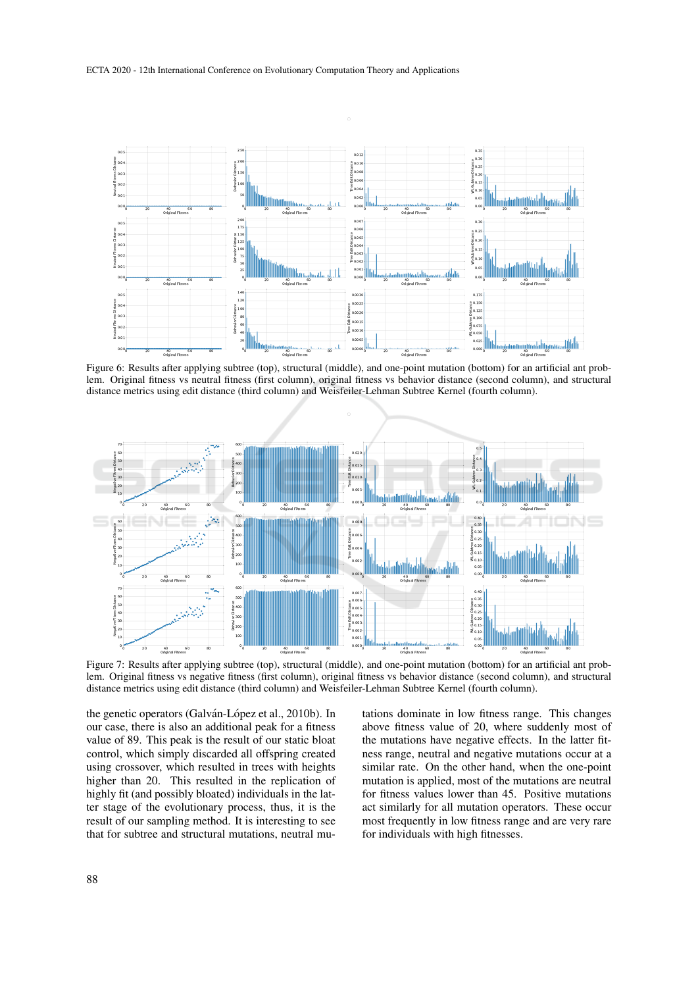

Figure 6: Results after applying subtree (top), structural (middle), and one-point mutation (bottom) for an artificial ant problem. Original fitness vs neutral fitness (first column), original fitness vs behavior distance (second column), and structural distance metrics using edit distance (third column) and Weisfeiler-Lehman Subtree Kernel (fourth column).



Figure 7: Results after applying subtree (top), structural (middle), and one-point mutation (bottom) for an artificial ant problem. Original fitness vs negative fitness (first column), original fitness vs behavior distance (second column), and structural distance metrics using edit distance (third column) and Weisfeiler-Lehman Subtree Kernel (fourth column).

the genetic operators (Galván-López et al., 2010b). In our case, there is also an additional peak for a fitness value of 89. This peak is the result of our static bloat control, which simply discarded all offspring created using crossover, which resulted in trees with heights higher than 20. This resulted in the replication of highly fit (and possibly bloated) individuals in the latter stage of the evolutionary process, thus, it is the result of our sampling method. It is interesting to see that for subtree and structural mutations, neutral mu-

tations dominate in low fitness range. This changes above fitness value of 20, where suddenly most of the mutations have negative effects. In the latter fitness range, neutral and negative mutations occur at a similar rate. On the other hand, when the one-point mutation is applied, most of the mutations are neutral for fitness values lower than 45. Positive mutations act similarly for all mutation operators. These occur most frequently in low fitness range and are very rare for individuals with high fitnesses.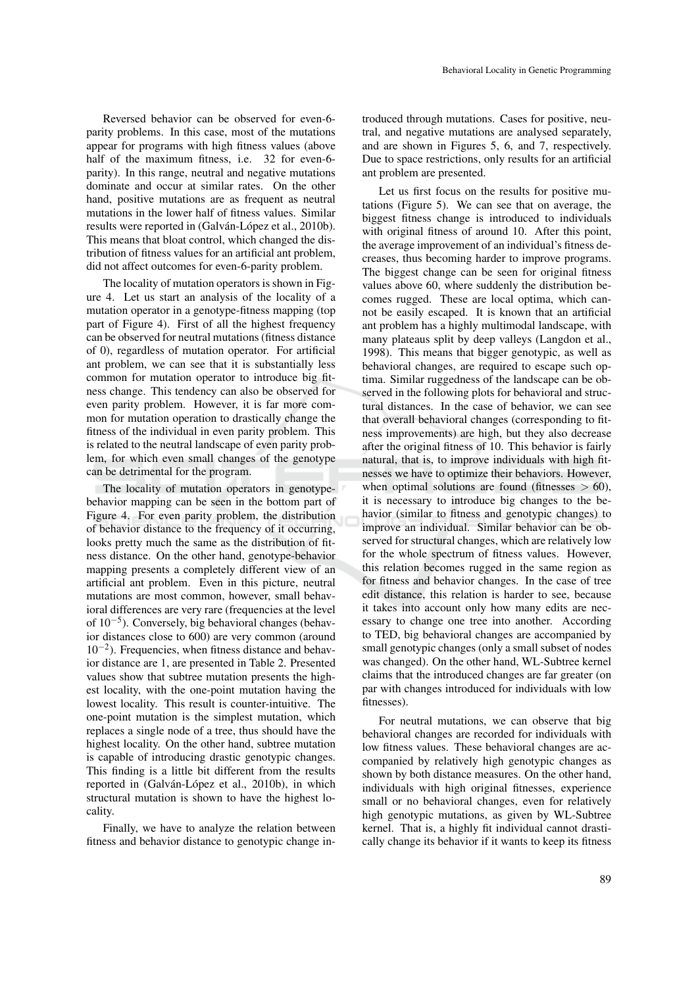Reversed behavior can be observed for even-6 parity problems. In this case, most of the mutations appear for programs with high fitness values (above half of the maximum fitness, i.e. 32 for even-6parity). In this range, neutral and negative mutations dominate and occur at similar rates. On the other hand, positive mutations are as frequent as neutral mutations in the lower half of fitness values. Similar results were reported in (Galván-López et al., 2010b). This means that bloat control, which changed the distribution of fitness values for an artificial ant problem, did not affect outcomes for even-6-parity problem.

The locality of mutation operators is shown in Figure 4. Let us start an analysis of the locality of a mutation operator in a genotype-fitness mapping (top part of Figure 4). First of all the highest frequency can be observed for neutral mutations (fitness distance of 0), regardless of mutation operator. For artificial ant problem, we can see that it is substantially less common for mutation operator to introduce big fitness change. This tendency can also be observed for even parity problem. However, it is far more common for mutation operation to drastically change the fitness of the individual in even parity problem. This is related to the neutral landscape of even parity problem, for which even small changes of the genotype can be detrimental for the program.

The locality of mutation operators in genotypebehavior mapping can be seen in the bottom part of Figure 4. For even parity problem, the distribution of behavior distance to the frequency of it occurring, looks pretty much the same as the distribution of fitness distance. On the other hand, genotype-behavior mapping presents a completely different view of an artificial ant problem. Even in this picture, neutral mutations are most common, however, small behavioral differences are very rare (frequencies at the level of 10−<sup>5</sup> ). Conversely, big behavioral changes (behavior distances close to 600) are very common (around 10−<sup>2</sup> ). Frequencies, when fitness distance and behavior distance are 1, are presented in Table 2. Presented values show that subtree mutation presents the highest locality, with the one-point mutation having the lowest locality. This result is counter-intuitive. The one-point mutation is the simplest mutation, which replaces a single node of a tree, thus should have the highest locality. On the other hand, subtree mutation is capable of introducing drastic genotypic changes. This finding is a little bit different from the results reported in (Galván-López et al., 2010b), in which structural mutation is shown to have the highest locality.

Finally, we have to analyze the relation between fitness and behavior distance to genotypic change in-

troduced through mutations. Cases for positive, neutral, and negative mutations are analysed separately, and are shown in Figures 5, 6, and 7, respectively. Due to space restrictions, only results for an artificial ant problem are presented.

Let us first focus on the results for positive mutations (Figure 5). We can see that on average, the biggest fitness change is introduced to individuals with original fitness of around 10. After this point, the average improvement of an individual's fitness decreases, thus becoming harder to improve programs. The biggest change can be seen for original fitness values above 60, where suddenly the distribution becomes rugged. These are local optima, which cannot be easily escaped. It is known that an artificial ant problem has a highly multimodal landscape, with many plateaus split by deep valleys (Langdon et al., 1998). This means that bigger genotypic, as well as behavioral changes, are required to escape such optima. Similar ruggedness of the landscape can be observed in the following plots for behavioral and structural distances. In the case of behavior, we can see that overall behavioral changes (corresponding to fitness improvements) are high, but they also decrease after the original fitness of 10. This behavior is fairly natural, that is, to improve individuals with high fitnesses we have to optimize their behaviors. However, when optimal solutions are found (fitnesses  $> 60$ ), it is necessary to introduce big changes to the behavior (similar to fitness and genotypic changes) to improve an individual. Similar behavior can be observed for structural changes, which are relatively low for the whole spectrum of fitness values. However, this relation becomes rugged in the same region as for fitness and behavior changes. In the case of tree edit distance, this relation is harder to see, because it takes into account only how many edits are necessary to change one tree into another. According to TED, big behavioral changes are accompanied by small genotypic changes (only a small subset of nodes was changed). On the other hand, WL-Subtree kernel claims that the introduced changes are far greater (on par with changes introduced for individuals with low fitnesses).

For neutral mutations, we can observe that big behavioral changes are recorded for individuals with low fitness values. These behavioral changes are accompanied by relatively high genotypic changes as shown by both distance measures. On the other hand, individuals with high original fitnesses, experience small or no behavioral changes, even for relatively high genotypic mutations, as given by WL-Subtree kernel. That is, a highly fit individual cannot drastically change its behavior if it wants to keep its fitness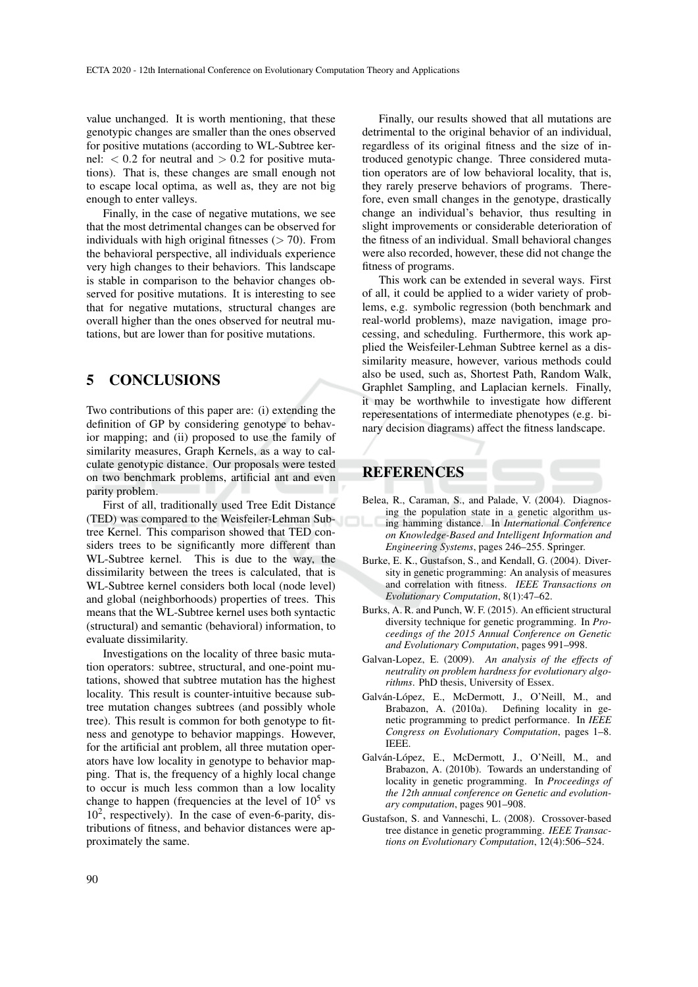value unchanged. It is worth mentioning, that these genotypic changes are smaller than the ones observed for positive mutations (according to WL-Subtree kernel:  $< 0.2$  for neutral and  $> 0.2$  for positive mutations). That is, these changes are small enough not to escape local optima, as well as, they are not big enough to enter valleys.

Finally, in the case of negative mutations, we see that the most detrimental changes can be observed for individuals with high original fitnesses  $(> 70)$ . From the behavioral perspective, all individuals experience very high changes to their behaviors. This landscape is stable in comparison to the behavior changes observed for positive mutations. It is interesting to see that for negative mutations, structural changes are overall higher than the ones observed for neutral mutations, but are lower than for positive mutations.

# 5 CONCLUSIONS

Two contributions of this paper are: (i) extending the definition of GP by considering genotype to behavior mapping; and (ii) proposed to use the family of similarity measures, Graph Kernels, as a way to calculate genotypic distance. Our proposals were tested on two benchmark problems, artificial ant and even parity problem.

First of all, traditionally used Tree Edit Distance (TED) was compared to the Weisfeiler-Lehman Subtree Kernel. This comparison showed that TED considers trees to be significantly more different than WL-Subtree kernel. This is due to the way, the dissimilarity between the trees is calculated, that is WL-Subtree kernel considers both local (node level) and global (neighborhoods) properties of trees. This means that the WL-Subtree kernel uses both syntactic (structural) and semantic (behavioral) information, to evaluate dissimilarity.

Investigations on the locality of three basic mutation operators: subtree, structural, and one-point mutations, showed that subtree mutation has the highest locality. This result is counter-intuitive because subtree mutation changes subtrees (and possibly whole tree). This result is common for both genotype to fitness and genotype to behavior mappings. However, for the artificial ant problem, all three mutation operators have low locality in genotype to behavior mapping. That is, the frequency of a highly local change to occur is much less common than a low locality change to happen (frequencies at the level of  $10^5$  vs  $10<sup>2</sup>$ , respectively). In the case of even-6-parity, distributions of fitness, and behavior distances were approximately the same.

Finally, our results showed that all mutations are detrimental to the original behavior of an individual, regardless of its original fitness and the size of introduced genotypic change. Three considered mutation operators are of low behavioral locality, that is, they rarely preserve behaviors of programs. Therefore, even small changes in the genotype, drastically change an individual's behavior, thus resulting in slight improvements or considerable deterioration of the fitness of an individual. Small behavioral changes were also recorded, however, these did not change the fitness of programs.

This work can be extended in several ways. First of all, it could be applied to a wider variety of problems, e.g. symbolic regression (both benchmark and real-world problems), maze navigation, image processing, and scheduling. Furthermore, this work applied the Weisfeiler-Lehman Subtree kernel as a dissimilarity measure, however, various methods could also be used, such as, Shortest Path, Random Walk, Graphlet Sampling, and Laplacian kernels. Finally, it may be worthwhile to investigate how different reperesentations of intermediate phenotypes (e.g. binary decision diagrams) affect the fitness landscape.

## **REFERENCES**

- Belea, R., Caraman, S., and Palade, V. (2004). Diagnosing the population state in a genetic algorithm using hamming distance. In *International Conference on Knowledge-Based and Intelligent Information and Engineering Systems*, pages 246–255. Springer.
- Burke, E. K., Gustafson, S., and Kendall, G. (2004). Diversity in genetic programming: An analysis of measures and correlation with fitness. *IEEE Transactions on Evolutionary Computation*, 8(1):47–62.
- Burks, A. R. and Punch, W. F. (2015). An efficient structural diversity technique for genetic programming. In *Proceedings of the 2015 Annual Conference on Genetic and Evolutionary Computation*, pages 991–998.
- Galvan-Lopez, E. (2009). *An analysis of the effects of neutrality on problem hardness for evolutionary algorithms*. PhD thesis, University of Essex.
- Galván-López, E., McDermott, J., O'Neill, M., and Brabazon, A. (2010a). Defining locality in genetic programming to predict performance. In *IEEE Congress on Evolutionary Computation*, pages 1–8. IEEE.
- Galván-López, E., McDermott, J., O'Neill, M., and Brabazon, A. (2010b). Towards an understanding of locality in genetic programming. In *Proceedings of the 12th annual conference on Genetic and evolutionary computation*, pages 901–908.
- Gustafson, S. and Vanneschi, L. (2008). Crossover-based tree distance in genetic programming. *IEEE Transactions on Evolutionary Computation*, 12(4):506–524.